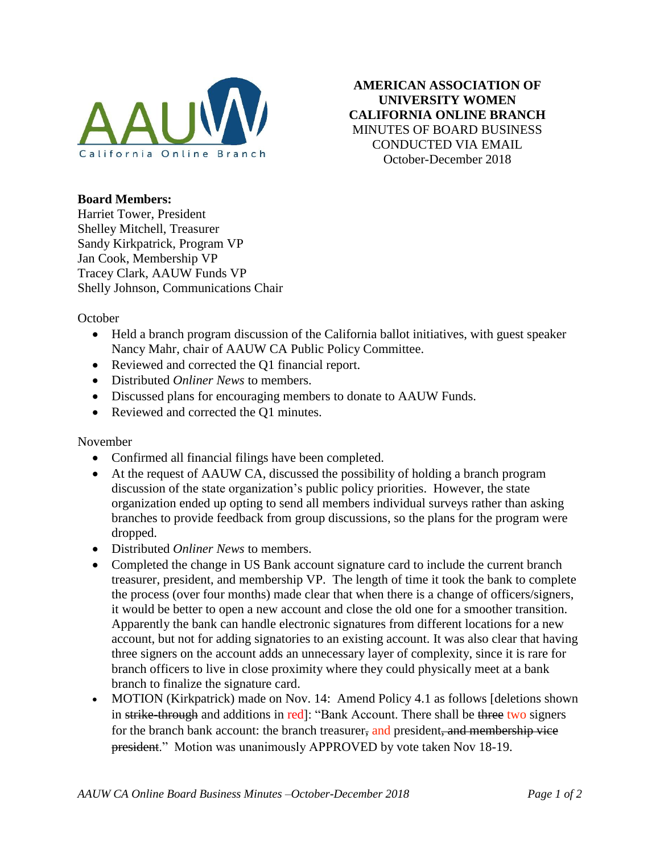

**AMERICAN ASSOCIATION OF UNIVERSITY WOMEN CALIFORNIA ONLINE BRANCH** MINUTES OF BOARD BUSINESS CONDUCTED VIA EMAIL October-December 2018

## **Board Members:**

Harriet Tower, President Shelley Mitchell, Treasurer Sandy Kirkpatrick, Program VP Jan Cook, Membership VP Tracey Clark, AAUW Funds VP Shelly Johnson, Communications Chair

October

- Held a branch program discussion of the California ballot initiatives, with guest speaker Nancy Mahr, chair of AAUW CA Public Policy Committee.
- Reviewed and corrected the Q1 financial report.
- Distributed *Onliner News* to members.
- Discussed plans for encouraging members to donate to AAUW Funds.
- Reviewed and corrected the Q1 minutes.

## November

- Confirmed all financial filings have been completed.
- At the request of AAUW CA, discussed the possibility of holding a branch program discussion of the state organization's public policy priorities. However, the state organization ended up opting to send all members individual surveys rather than asking branches to provide feedback from group discussions, so the plans for the program were dropped.
- Distributed *Onliner News* to members.
- Completed the change in US Bank account signature card to include the current branch treasurer, president, and membership VP. The length of time it took the bank to complete the process (over four months) made clear that when there is a change of officers/signers, it would be better to open a new account and close the old one for a smoother transition. Apparently the bank can handle electronic signatures from different locations for a new account, but not for adding signatories to an existing account. It was also clear that having three signers on the account adds an unnecessary layer of complexity, since it is rare for branch officers to live in close proximity where they could physically meet at a bank branch to finalize the signature card.
- MOTION (Kirkpatrick) made on Nov. 14: Amend Policy 4.1 as follows [deletions shown] in strike-through and additions in red]: "Bank Account. There shall be three two signers for the branch bank account: the branch treasurer, and president, and membership vice president." Motion was unanimously APPROVED by vote taken Nov 18-19.